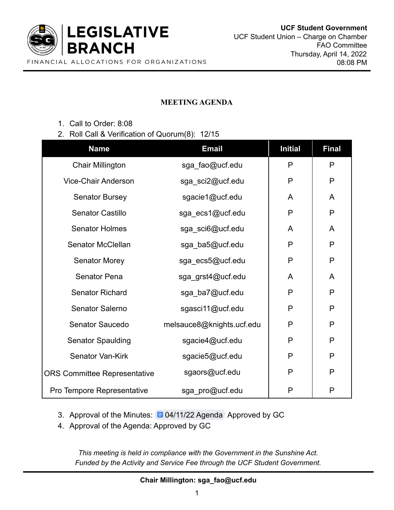

## **MEETING AGENDA**

1. Call to Order: 8:08

## 2. Roll Call & Verification of Quorum(8): 12/15

| <b>Name</b>                         | <b>Email</b>              | <b>Initial</b> | <b>Final</b> |
|-------------------------------------|---------------------------|----------------|--------------|
| <b>Chair Millington</b>             | sga_fao@ucf.edu           | P              | P            |
| <b>Vice-Chair Anderson</b>          | sga_sci2@ucf.edu          | P              | P            |
| <b>Senator Bursey</b>               | sgacie1@ucf.edu           | A              | A            |
| <b>Senator Castillo</b>             | sga_ecs1@ucf.edu          | P              | P            |
| <b>Senator Holmes</b>               | sga_sci6@ucf.edu          | A              | A            |
| <b>Senator McClellan</b>            | sga_ba5@ucf.edu           | P              | P            |
| <b>Senator Morey</b>                | sga_ecs5@ucf.edu          | P              | $\mathsf{P}$ |
| <b>Senator Pena</b>                 | sga_grst4@ucf.edu         | A              | A            |
| <b>Senator Richard</b>              | sga_ba7@ucf.edu           | P              | P            |
| Senator Salerno                     | sgasci11@ucf.edu          | P              | $\mathsf{P}$ |
| Senator Saucedo                     | melsauce8@knights.ucf.edu | P              | P            |
| <b>Senator Spaulding</b>            | sgacie4@ucf.edu           | P              | P            |
| Senator Van-Kirk                    | sgacie5@ucf.edu           | P              | P            |
| <b>ORS Committee Representative</b> | sgaors@ucf.edu            | P              | P            |
| Pro Tempore Representative          | sga_pro@ucf.edu           | P              | $\mathsf P$  |

- 3. Approval of the Minutes: [04/11/22 Agenda](https://docs.google.com/document/d/11ck16bEM9I8PiWR5q8Qxa2EFVlipBgUWRTaBDTgTIfo/edit) Approved by GC
- 4. Approval of the Agenda: Approved by GC

*This meeting is held in compliance with the Government in the Sunshine Act. Funded by the Activity and Service Fee through the UCF Student Government.*

**Chair Millington: sga\_fao@ucf.edu**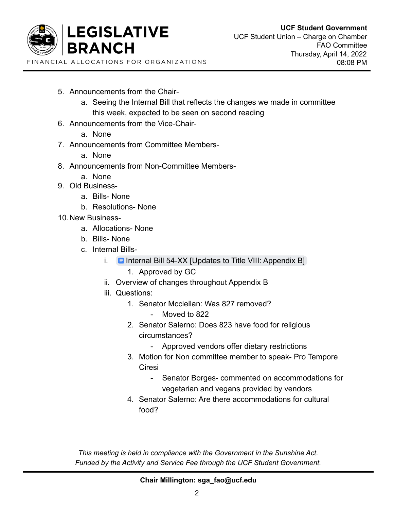

- 5. Announcements from the Chair
	- a. Seeing the Internal Bill that reflects the changes we made in committee this week, expected to be seen on second reading
- 6. Announcements from the Vice-Chair
	- a. None
- 7. Announcements from Committee Members
	- a. None
- 8. Announcements from Non-Committee Members
	- a. None
- 9. Old Business
	- a. Bills- None
	- b. Resolutions- None
- 10.New Business
	- a. Allocations- None
	- b. Bills- None
	- c. Internal Bills
		- i. **E** [Internal Bill 54-XX \[Updates to Title VIII: Appendix B\]](https://docs.google.com/document/d/1c3k38Bdmb5xXz3dwI-LfezMwhXffzXco-A5OB3th75E/edit#)
			- 1. Approved by GC
		- ii. Overview of changes throughout Appendix B
		- iii. Questions:
			- 1. Senator Mcclellan: Was 827 removed?
				- Moved to 822
			- 2. Senator Salerno: Does 823 have food for religious circumstances?
				- Approved vendors offer dietary restrictions
			- 3. Motion for Non committee member to speak- Pro Tempore Ciresi
				- Senator Borges- commented on accommodations for vegetarian and vegans provided by vendors
			- 4. Senator Salerno: Are there accommodations for cultural food?

*This meeting is held in compliance with the Government in the Sunshine Act. Funded by the Activity and Service Fee through the UCF Student Government.*

**Chair Millington: sga\_fao@ucf.edu**